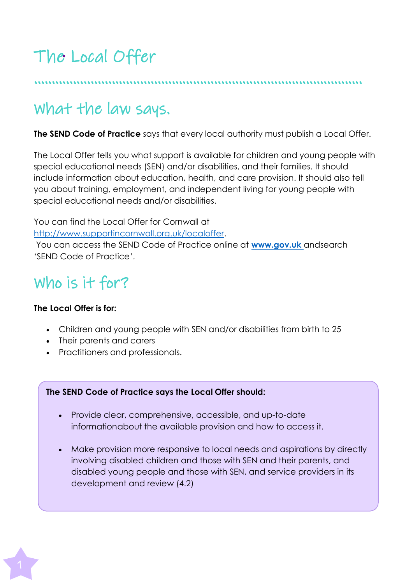# The Local Offer

…………………………………………………………………………………

# What the law says.

**The SEND Code of Practice** says that every local authority must publish a Local Offer.

The Local Offer tells you what support is available for children and young people with special educational needs (SEN) and/or disabilities, and their families. It should include information about education, health, and care provision. It should also tell you about training, employment, and independent living for young people with special educational needs and/or disabilities.

You can find the Local Offer for Cornwall at [http://www.supportincornwall.org.uk/localoffer.](http://www.supportincornwall.org.uk/localoffer)

You can access the SEND Code of Practice online at **www.gov.uk** andsearch 'SEND Code of Practice'.

# Who is it for?

### **The Local Offer is for:**

- Children and young people with SEN and/or disabilities from birth to 25
- Their parents and carers
- Practitioners and professionals.

### **The SEND Code of Practice says the Local Offer should:**

- Provide clear, comprehensive, accessible, and up-to-date informationabout the available provision and how to access it.
- Make provision more responsive to local needs and aspirations by directly involving disabled children and those with SEN and their parents, and disabled young people and those with SEN, and service providers in its development and review (4.2)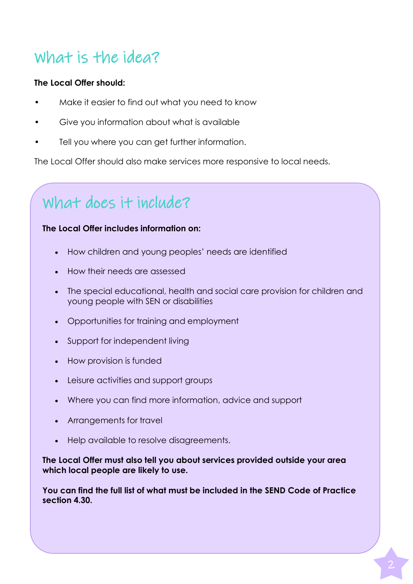## What is the idea?

#### **The Local Offer should:**

- Make it easier to find out what you need to know
- Give you information about what is available
- Tell you where you can get further information.

The Local Offer should also make services more responsive to local needs.

# What does it include?

#### **The Local Offer includes information on:**

- How children and young peoples' needs are identified
- How their needs are assessed
- The special educational, health and social care provision for children and young people with SEN or disabilities
- Opportunities for training and employment
- Support for independent living
- How provision is funded
- Leisure activities and support groups
- Where you can find more information, advice and support
- Arrangements for travel
- Help available to resolve disagreements.

**The Local Offer must also tell you about services provided outside your area which local people are likely to use.**

**You can find the full list of what must be included in the SEND Code of Practice section 4.30.**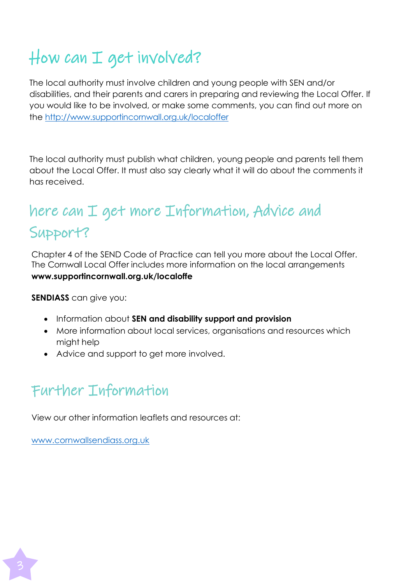# How can I get involved?

The local authority must involve children and young people with SEN and/or disabilities, and their parents and carers in preparing and reviewing the Local Offer. If you would like to be involved, or make some comments, you can find out more on the <http://www.supportincornwall.org.uk/localoffer>

The local authority must publish what children, young people and parents tell them about the Local Offer. It must also say clearly what it will do about the comments it has received.

## here can I get more Information, Advice and Support?

Chapter 4 of the SEND Code of Practice can tell you more about the Local Offer. The Cornwall Local Offer includes more information on the local arrangements **www.supportincornwall.org.uk/localoffe**

**SENDIASS** can give you:

- Information about **SEN and disability support and provision**
- More information about local services, organisations and resources which might help
- Advice and support to get more involved.

### Further Information

View our other information leaflets and resources at:

[www.cornwallsendiass.org.uk](http://www.cornwallsendiass.org.uk/)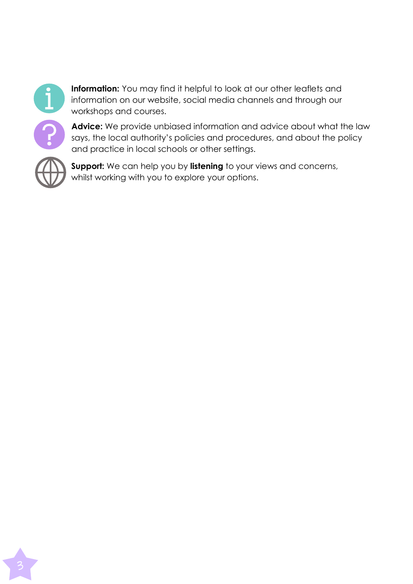

**Information:** You may find it helpful to look at our other leaflets and information on our website, social media channels and through our workshops and courses.

**Advice:** We provide unbiased information and advice about what the law says, the local authority's policies and procedures, and about the policy and practice in local schools or other settings.



**Support:** We can help you by **listening** to your views and concerns, whilst working with you to explore your options.